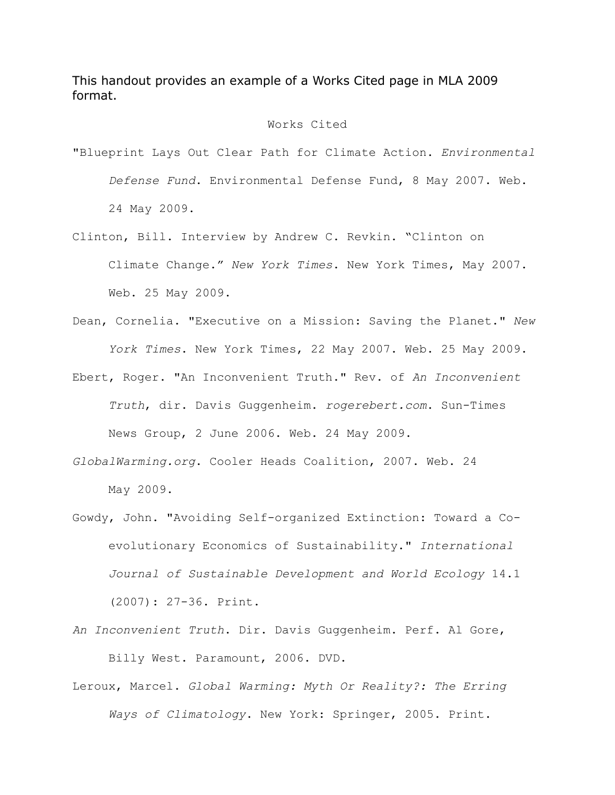This handout provides an example of a Works Cited page in MLA 2009 format.

## Works Cited

- "Blueprint Lays Out Clear Path for Climate Action. *Environmental Defense Fund*. Environmental Defense Fund, 8 May 2007. Web. 24 May 2009.
- Clinton, Bill. Interview by Andrew C. Revkin. "Clinton on Climate Change." *New York Times*. New York Times, May 2007. Web. 25 May 2009.
- Dean, Cornelia. "Executive on a Mission: Saving the Planet." *New York Times*. New York Times, 22 May 2007. Web. 25 May 2009.
- Ebert, Roger. "An Inconvenient Truth." Rev. of *An Inconvenient Truth*, dir. Davis Guggenheim. *rogerebert.com*. Sun-Times News Group, 2 June 2006. Web. 24 May 2009.
- *GlobalWarming.org*. Cooler Heads Coalition, 2007. Web. 24 May 2009.
- Gowdy, John. "Avoiding Self-organized Extinction: Toward a Co evolutionary Economics of Sustainability." *International Journal of Sustainable Development and World Ecology* 14.1 (2007): 27-36. Print.
- *An Inconvenient Truth*. Dir. Davis Guggenheim. Perf. Al Gore, Billy West. Paramount, 2006. DVD.
- Leroux, Marcel. *Global Warming: Myth Or Reality?: The Erring Ways of Climatology*. New York: Springer, 2005. Print.